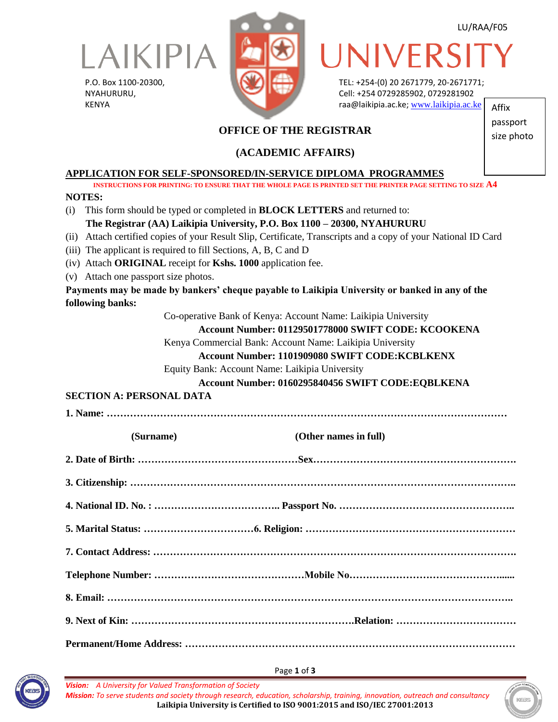

P.O. Box 1100-20300, NYAHURURU, KENYA



LU/RAA/F05

passport size photo

UNIVERS

TEL: +254-(0) 20 2671779, 20-2671771; Cell: +254 0729285902, 0729281902 raa@laikipia.ac.ke; [www.laikipia.ac.ke](http://www.laikipia.ac.ke/) Affix

# **OFFICE OF THE REGISTRAR**

# **(ACADEMIC AFFAIRS)**

**APPLICATION FOR SELF-SPONSORED/IN-SERVICE DIPLOMA PROGRAMMES**

**INSTRUCTIONS FOR PRINTING: TO ENSURE THAT THE WHOLE PAGE IS PRINTED SET THE PRINTER PAGE SETTING TO SIZE A4**

#### **NOTES:**

(i) This form should be typed or completed in **BLOCK LETTERS** and returned to:  **The Registrar (AA) Laikipia University, P.O. Box 1100 – 20300, NYAHURURU**

(ii) Attach certified copies of your Result Slip, Certificate, Transcripts and a copy of your National ID Card

- (iii) The applicant is required to fill Sections, A, B, C and D
- (iv) Attach **ORIGINAL** receipt for **Kshs. 1000** application fee.
- (v) Attach one passport size photos.

**Payments may be made by bankers' cheque payable to Laikipia University or banked in any of the following banks:**

Co-operative Bank of Kenya: Account Name: Laikipia University

#### **Account Number: 01129501778000 SWIFT CODE: KCOOKENA**

Kenya Commercial Bank: Account Name: Laikipia University

#### **Account Number: 1101909080 SWIFT CODE:KCBLKENX**

Equity Bank: Account Name: Laikipia University

#### **Account Number: 0160295840456 SWIFT CODE:EQBLKENA**

## **SECTION A: PERSONAL DATA**

**1. Name: …………………………………………………………………………………………………………**

| (Surname) | (Other names in full) |
|-----------|-----------------------|
|           |                       |
|           |                       |
|           |                       |
|           |                       |
|           |                       |
|           |                       |
|           |                       |
|           |                       |
|           |                       |





*Vision: A University for Valued Transformation of Society Mission: To serve students and society through research, education, scholarship, training, innovation, outreach and consultancy* **Laikipia University is Certified to ISO 9001:2015 and ISO/IEC 27001:2013**

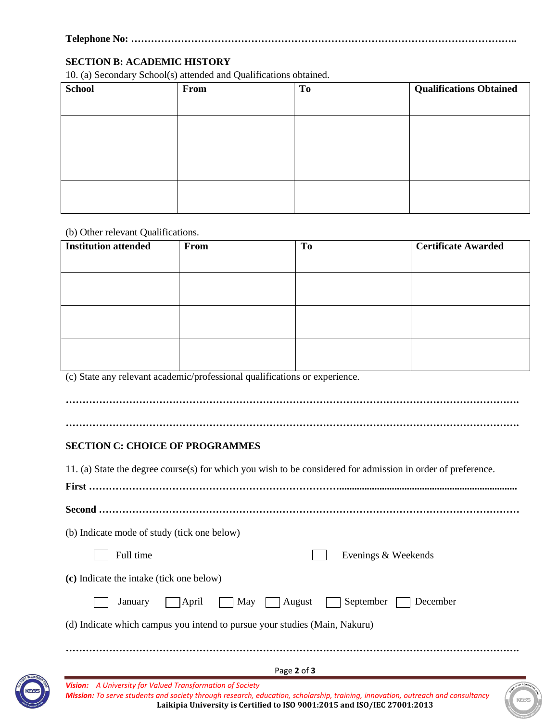### **Telephone No: ……………………………………………………………………………………………………..**

#### **SECTION B: ACADEMIC HISTORY**

10. (a) Secondary School(s) attended and Qualifications obtained.

| <b>School</b> | From | <b>To</b> | <b>Qualifications Obtained</b> |
|---------------|------|-----------|--------------------------------|
|               |      |           |                                |
|               |      |           |                                |
|               |      |           |                                |
|               |      |           |                                |
|               |      |           |                                |
|               |      |           |                                |
|               |      |           |                                |

(b) Other relevant Qualifications.

| <b>Institution attended</b> | From | To | <b>Certificate Awarded</b> |
|-----------------------------|------|----|----------------------------|
|                             |      |    |                            |
|                             |      |    |                            |
|                             |      |    |                            |
|                             |      |    |                            |
|                             |      |    |                            |
|                             |      |    |                            |

(c) State any relevant academic/professional qualifications or experience.

**……………………………………………………………………………………………………………………….**

**……………………………………………………………………………………………………………………….**

#### **SECTION C: CHOICE OF PROGRAMMES**

Page **2** of **3** *Vision: A University for Valued Transformation of Society Mission: To serve students and society through research, education, scholarship, training, innovation, outreach and consultancy* **Laikipia University is Certified to ISO 9001:2015 and ISO/IEC 27001:2013** 11. (a) State the degree course(s) for which you wish to be considered for admission in order of preference. **First …………………………………………………………………....................................................................... Second ………………………………………………………………………………………………………………** (b) Indicate mode of study (tick one below) Full time Evenings & Weekends **(c)** Indicate the intake (tick one below) January April May August September December (d) Indicate which campus you intend to pursue your studies (Main, Nakuru) **……………………………………………………………………………………………………………………….**